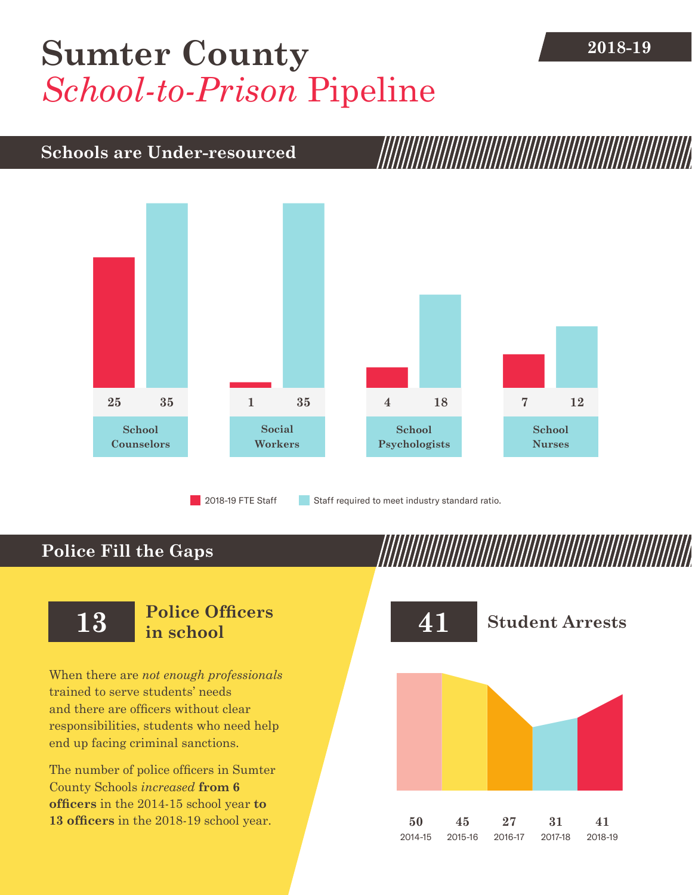# **2018-19 [Sumter County](DBF_County)** *School-to-Prison* Pipeline

## **Schools are Under-resourced**



**Police Fill the Gaps**

When there are *not enough professionals* trained to serve students' needs and there are officers without clear responsibilities, students who need help end up facing criminal sanctions.

The number of police officers in [Sumter](DBF_County)  [County](DBF_County) Schools *increased* **from [6](DBF_PO1415) officers** in the 2014-15 school year **to [13](DBF_PO) officers** in the 2018-19 school year.